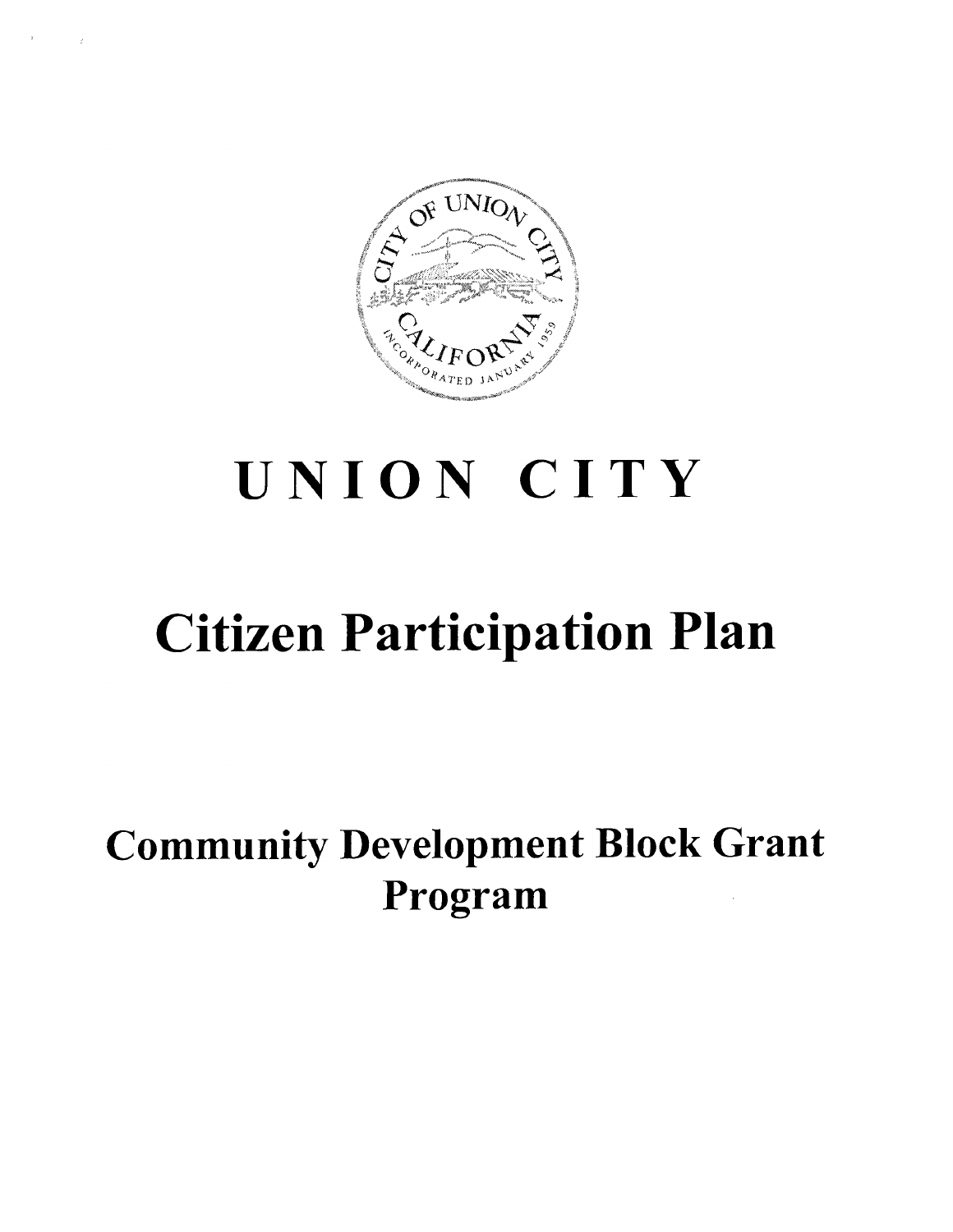

# **UNION CITY**

## **Citizen Participation Plan**

### **Community Development Block Grant Program**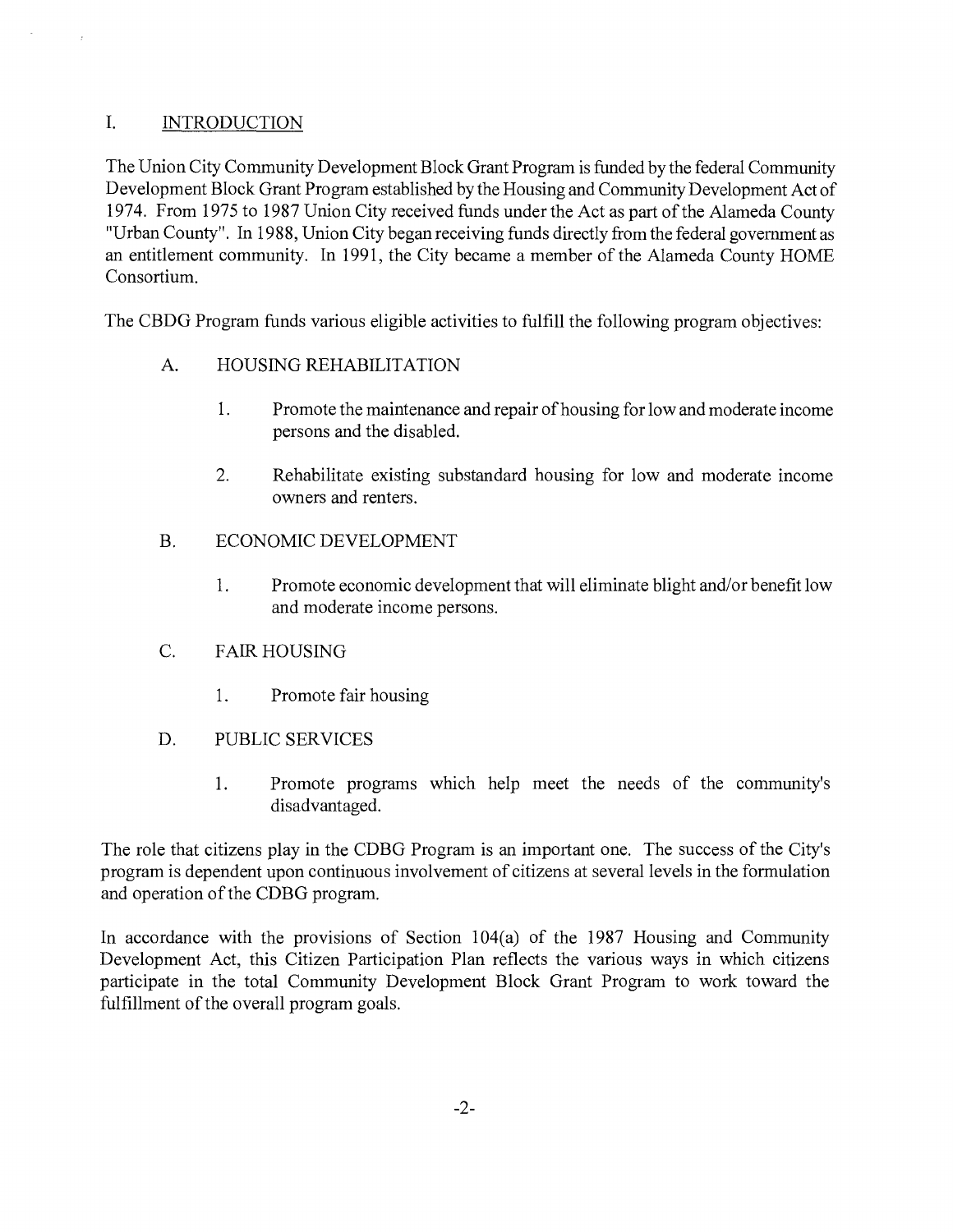### I. INTRODUCTION

The Union City Community Development Block Grant Program is funded by the federal Community Development Block Grant Program established by the Housing and Community Development Act of 1974. From 1975 to 1987 Union City received funds under the Act as part of the Alameda County "Urban County". In 1988, Union City began receiving funds directly from the federal government as an entitlement community. In 1991, the City became a member of the Alameda County HOME Consortium.

The CBDG Program funds various eligible activities to fulfill the following program objectives:

- A. HOUSING REHABILITATION
	- 1. Promote the maintenance and repair of housing for low and moderate income persons and the disabled.
	- 2. Rehabilitate existing substandard housing for low and moderate income owners and renters.
- B. ECONOMIC DEVELOPMENT
	- 1. Promote economic development that will eliminate blight and/or benefit low and moderate income persons.
- C. FAIR HOUSING
	- 1. Promote fair housing
- D. PUBLIC SERVICES
	- 1. Promote programs which help meet the needs of the community's disadvantaged.

The role that citizens play in the CDBG Program is an important one. The success of the City's program is dependent upon continuous involvement of citizens at several levels in the formulation and operation of the CDBG program.

In accordance with the provisions of Section 104(a) of the 1987 Housing and Community Development Act, this Citizen Participation Plan reflects the various ways in which citizens participate in the total Community Development Block Grant Program to work toward the fulfillment of the overall program goals.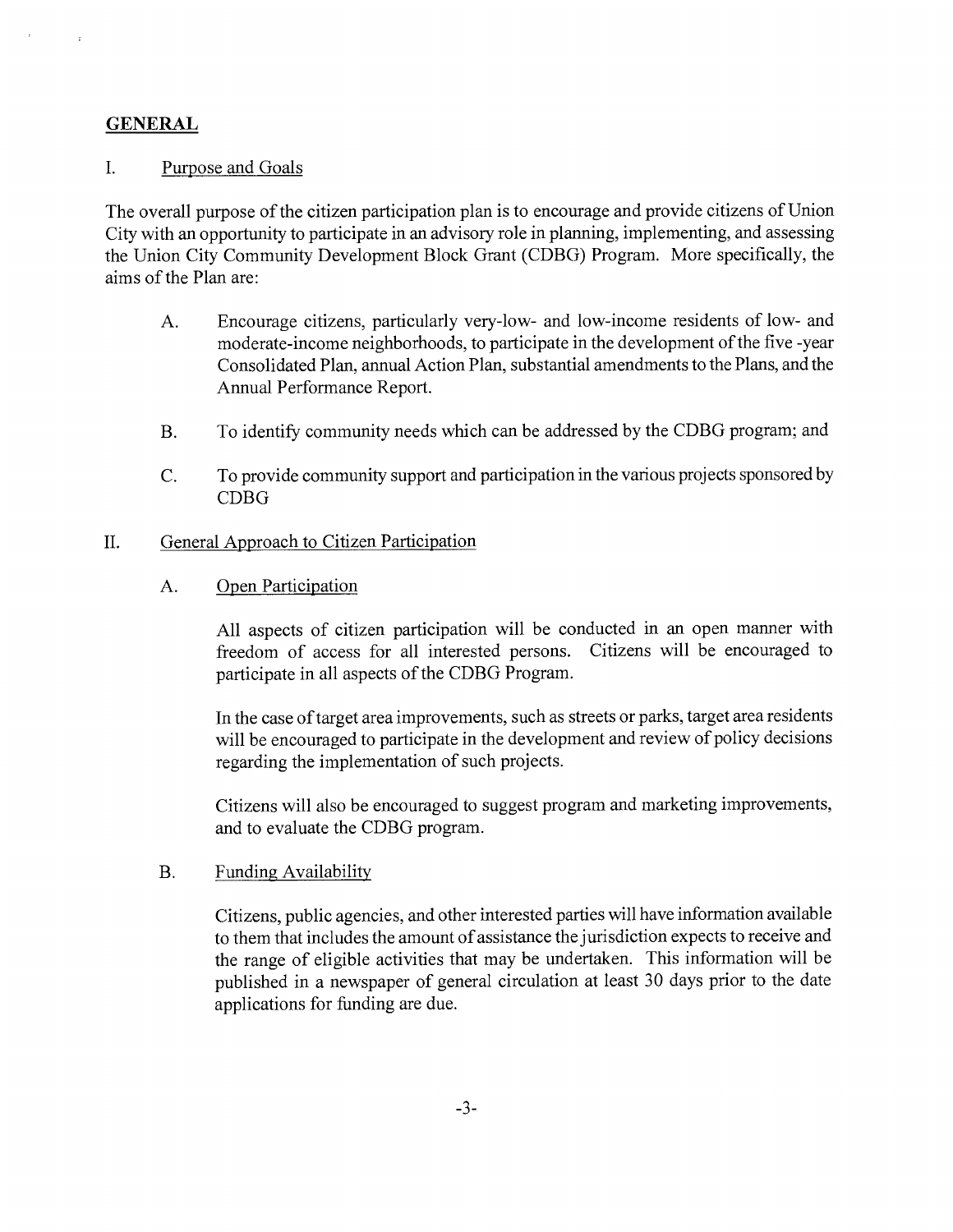#### **GENERAL**

#### I. Purpose and Goals

The overall purpose of the citizen participation plan is to encourage and provide citizens of Union City with an opportunity to participate in an advisory role in planning, implementing, and assessing the Union City Community Development Block Grant (CDBG) Program. More specifically, the aims of the Plan are:

- A. Encourage citizens, particularly very-low- and low-income residents of low- and moderate-income neighborhoods, to participate in the development of the five -year Consolidated Plan, annual Action Plan, substantial amendments to the Plans, and the Annual Performance Report.
- B. To identify community needs which can be addressed by the CDBG program; and
- C. To provide community support and participation in the various projects sponsored by CDBG

#### II. General Approach to Citizen Participation

#### A. Open Participation

All aspects of citizen participation will be conducted in an open manner with freedom of access for all interested persons. Citizens will be encouraged to participate in all aspects of the CDBG Program.

In the case of target area improvements, such as streets or parks, target area residents will be encouraged to participate in the development and review of policy decisions regarding the implementation of such projects.

Citizens will also be encouraged to suggest program and marketing improvements, and to evaluate the CDBG program.

#### B. Funding Availability

Citizens, public agencies, and other interested parties will have information available to them that includes the amount of assistance the jurisdiction expects to receive and the range of eligible activities that may be undertaken. This information will be published in a newspaper of general circulation at least 30 days prior to the date applications for funding are due.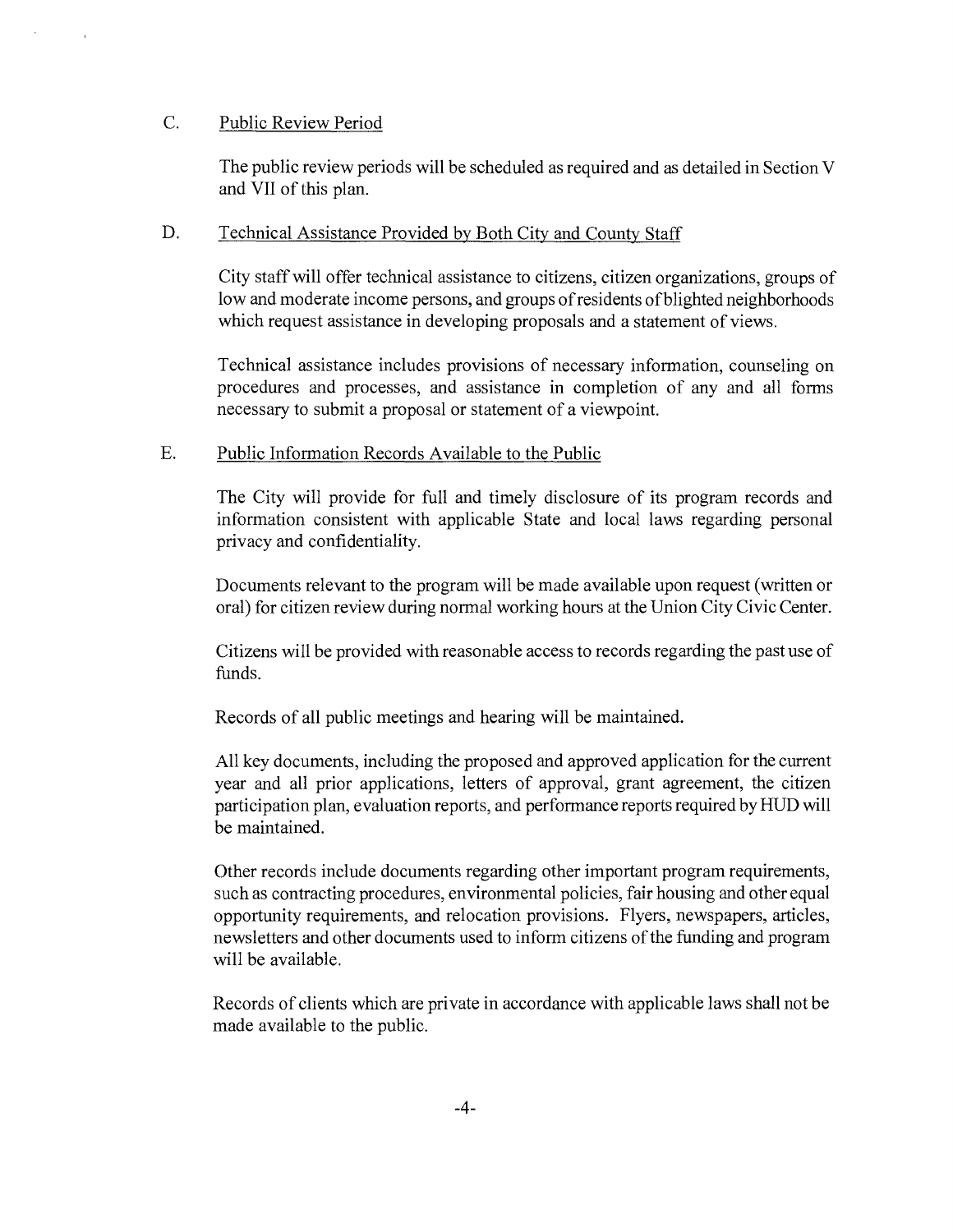#### C. Public Review Period

The public review periods will be scheduled as required and as detailed in Section V and VII of this plan.

#### D. Technical Assistance Provided by Both City and County Staff

City staff will offer technical assistance to citizens, citizen organizations, groups of low and moderate income persons, and groups of residents of blighted neighborhoods which request assistance in developing proposals and a statement of views.

Technical assistance includes provisions of necessary information, counseling on procedures and processes, and assistance in completion of any and all forms necessary to submit a proposal or statement of a viewpoint.

#### E. Public Information Records Available to the Public

The City will provide for full and timely disclosure of its program records and information consistent with applicable State and local laws regarding personal privacy and confidentiality.

Documents relevant to the program will be made available upon request (written or oral) for citizen review during normal working hours at the Union City Civic Center.

Citizens will be provided with reasonable access to records regarding the past use of funds.

Records of all public meetings and hearing will be maintained.

All key documents, including the proposed and approved application for the current year and all prior applications, letters of approval, grant agreement, the citizen participation plan, evaluation reports, and performance reports required by HUD will be maintained.

Other records include documents regarding other important program requirements, such as contracting procedures, environmental policies, fair housing and other equal opportunity requirements, and relocation provisions. Flyers, newspapers, articles, newsletters and other documents used to inform citizens of the funding and program will be available.

Records of clients which are private in accordance with applicable laws shall not be made available to the public.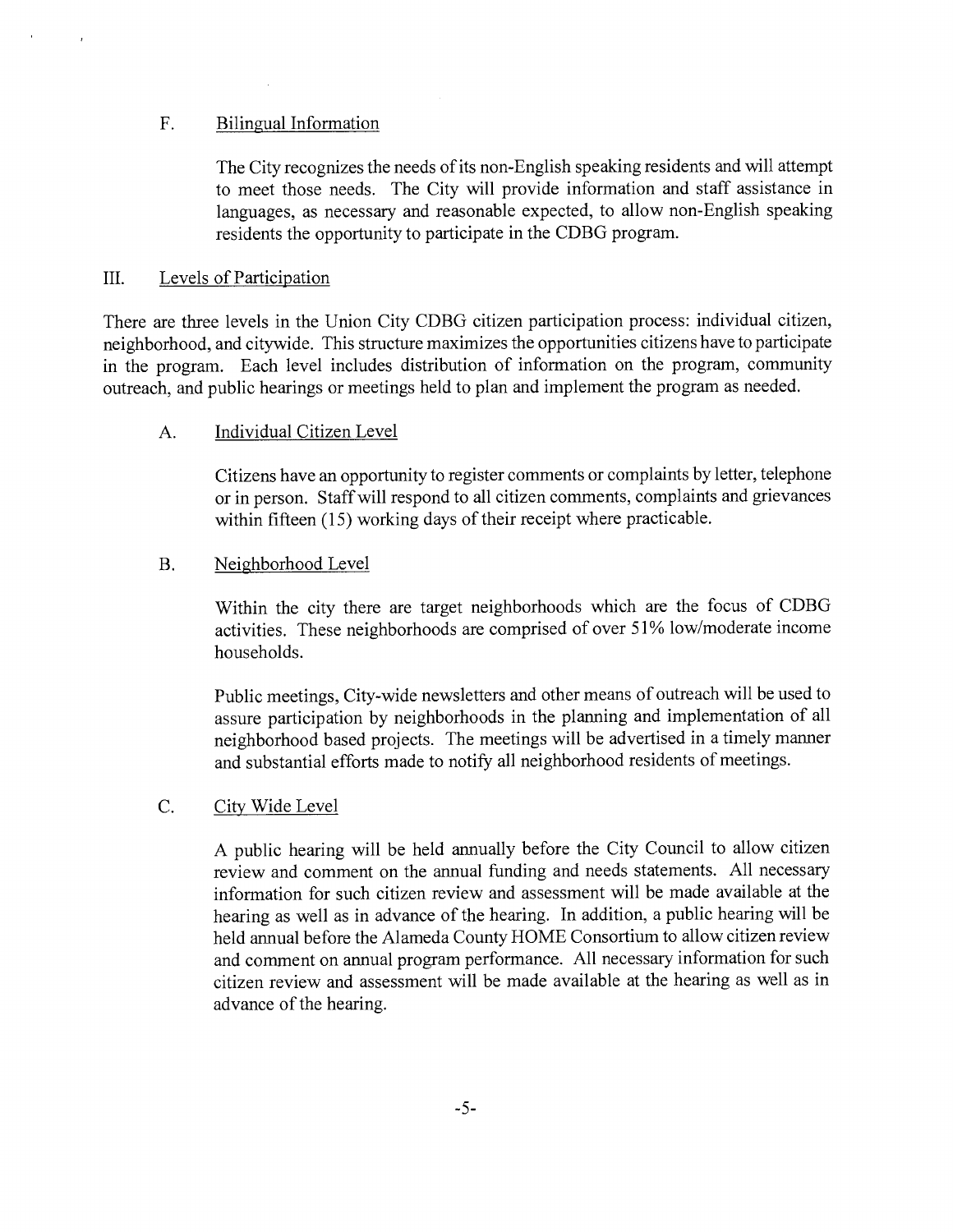#### F. Bilingual Information

The City recognizes the needs of its non-English speaking residents and will attempt to meet those needs. The City will provide information and staff assistance in languages, as necessary and reasonable expected, to allow non-English speaking residents the opportunity to participate in the CDBG program.

#### III. Levels of Participation

There are three levels in the Union City CDBG citizen participation process: individual citizen, neighborhood, and citywide. This structure maximizes the opportunities citizens have to participate in the program. Each level includes distribution of information on the program, community outreach, and public hearings or meetings held to plan and implement the program as needed.

#### A. Individual Citizen Level

Citizens have an opportunity to register comments or complaints by letter, telephone or in person. Staff will respond to all citizen comments, complaints and grievances within fifteen (15) working days of their receipt where practicable.

#### B. Neighborhood Level

Within the city there are target neighborhoods which are the focus of CDBG activities. These neighborhoods are comprised of over 51% low/moderate income households.

Public meetings, City-wide newsletters and other means of outreach will be used to assure participation by neighborhoods in the planning and implementation of all neighborhood based projects. The meetings will be advertised in a timely manner and substantial efforts made to notify all neighborhood residents of meetings.

#### C. City Wide Level

A public hearing will be held annually before the City Council to allow citizen review and comment on the annual funding and needs statements. All necessary information for such citizen review and assessment will be made available at the hearing as well as in advance of the hearing. In addition, a public hearing will be held annual before the Alameda County HOME Consortium to allow citizen review and comment on annual program performance. All necessary information for such citizen review and assessment will be made available at the hearing as well as in advance of the hearing.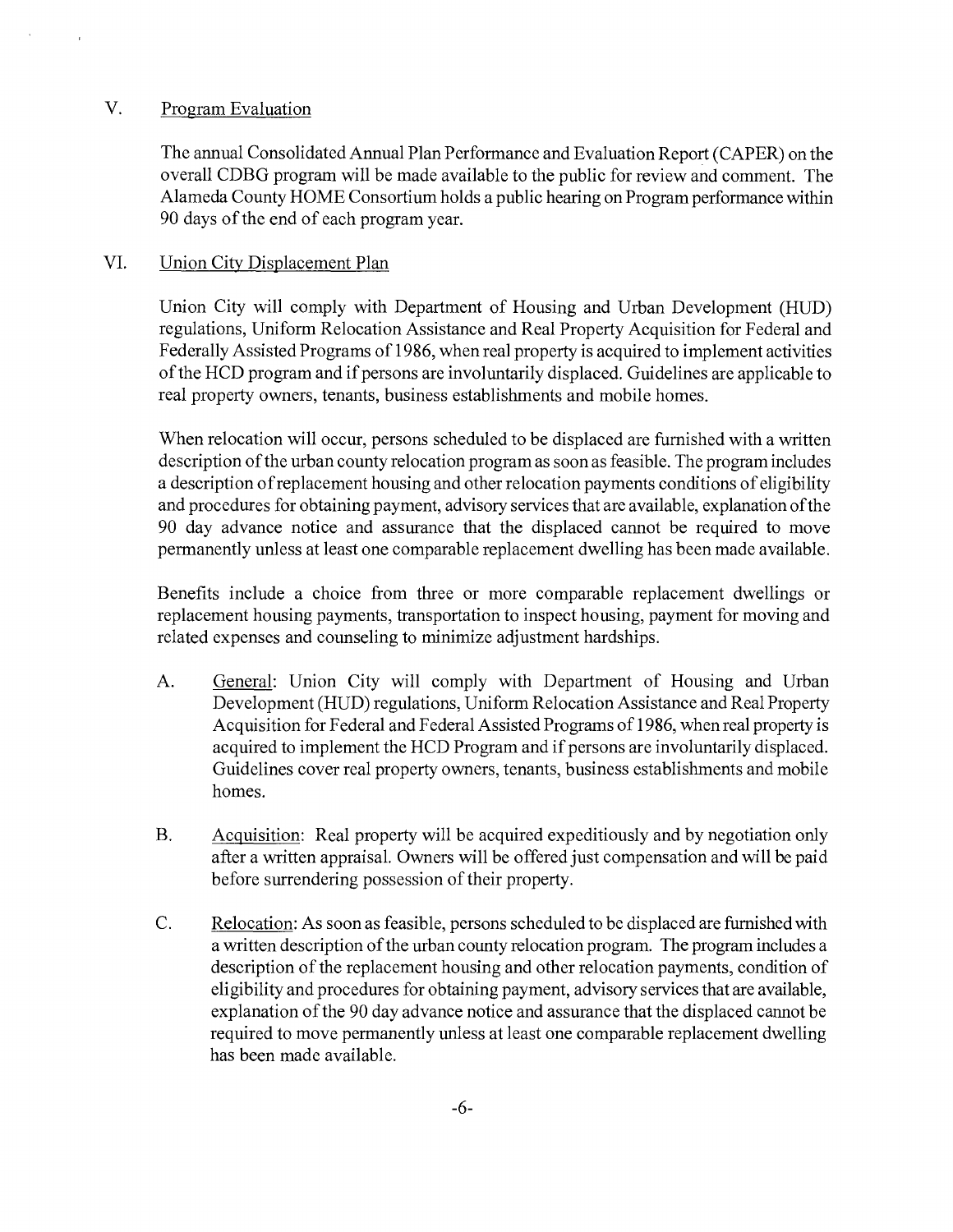#### V. Program Evaluation

The annual Consolidated Annual Plan Performance and Evaluation Report (CAPER) on the overall CDBG program will be made available to the public for review and comment. The Alameda County HOME Consortium holds a public hearing on Program performance within 90 days of the end of each program year.

#### VI. Union City Displacement Plan

Union City will comply with Department of Housing and Urban Development (HUD) regulations, Uniform Relocation Assistance and Real Property Acquisition for Federal and Federally Assisted Programs of 1986, when real property is acquired to implement activities of the HCD program and if persons are involuntarily displaced. Guidelines are applicable to real property owners, tenants, business establishments and mobile homes.

When relocation will occur, persons scheduled to be displaced are furnished with a written description of the urban county relocation program as soon as feasible. The program includes a description of replacement housing and other relocation payments conditions of eligibility and procedures for obtaining payment, advisory services that are available, explanation of the 90 day advance notice and assurance that the displaced cannot be required to move permanently unless at least one comparable replacement dwelling has been made available.

Benefits include a choice from three or more comparable replacement dwellings or replacement housing payments, transportation to inspect housing, payment for moving and related expenses and counseling to minimize adjustment hardships.

- A. General: Union City will comply with Department of Housing and Urban Development (HUD) regulations, Uniform Relocation Assistance and Real Property Acquisition for Federal and Federal Assisted Programs of 1986, when real property is acquired to implement the HCD Program and if persons are involuntarily displaced. Guidelines cover real property owners, tenants, business establishments and mobile homes.
- B. Acquisition: Real property will be acquired expeditiously and by negotiation only after a written appraisal. Owners will be offered just compensation and will be paid before surrendering possession of their property.
- C. Relocation: As soon as feasible, persons scheduled to be displaced are furnished with a written description of the urban county relocation program. The program includes a description of the replacement housing and other relocation payments, condition of eligibility and procedures for obtaining payment, advisory services that are available, explanation of the 90 day advance notice and assurance that the displaced cannot be required to move permanently unless at least one comparable replacement dwelling has been made available.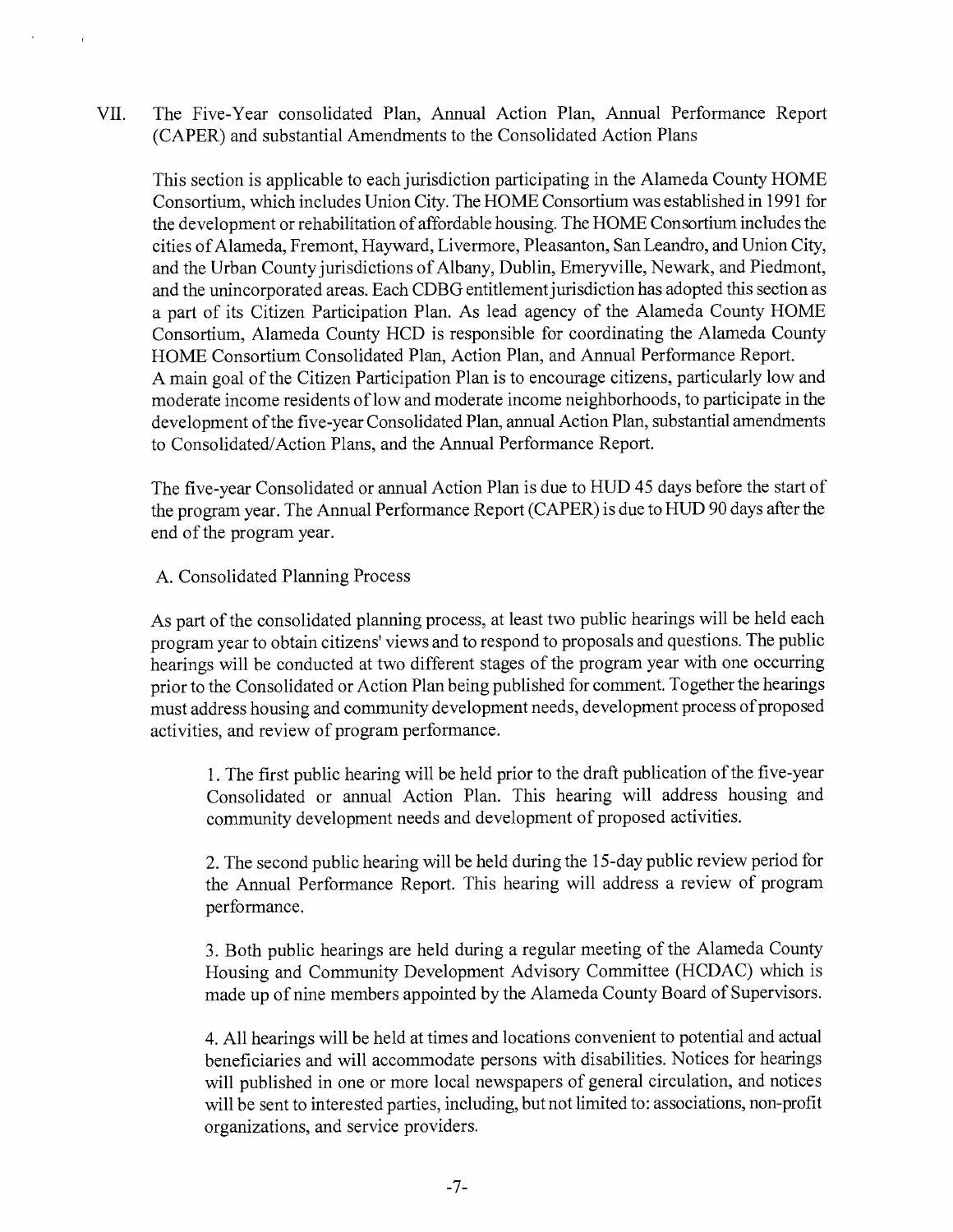VII. The Five-Year consolidated Plan, Annual Action Plan, Annual Performance Report (CAPER) and substantial Amendments to the Consolidated Action Plans

This section is applicable to each jurisdiction participating in the Alameda County HOME Consortium, which includes Union City. The HOME Consortium was established in 1991 for the development or rehabilitation of affordable housing. The HOME Consortium includes the cities of Alameda, Fremont, Hayward, Livermore, Pleasanton, San Leandro, and Union City, and the Urban County jurisdictions of Albany, Dublin, Emeryville, Newark, and Piedmont, and the unincorporated areas. Each CDBG entitlement jurisdiction has adopted this section as a part of its Citizen Participation Plan. As lead agency of the Alameda County HOME Consortium, Alameda County HCD is responsible for coordinating the Alameda County HOME Consortium Consolidated Plan, Action Plan, and Annual Performance Report. A main goal of the Citizen Participation Plan is to encourage citizens, particularly low and moderate income residents of low and moderate income neighborhoods, to participate in the development of the five-year Consolidated Plan, annual Action Plan, substantial amendments to Consolidated/Action Plans, and the Annual Performance Report.

The five-year Consolidated or annual Action Plan is due to HUD 45 days before the start of the program year. The Annual Performance Report (CAPER) is due to HUD 90 days after the end of the program year.

A. Consolidated Planning Process

As part of the consolidated planning process, at least two public hearings will be held each program year to obtain citizens' views and to respond to proposals and questions. The public hearings will be conducted at two different stages of the program year with one occurring prior to the Consolidated or Action Plan being published for comment. Together the hearings must address housing and community development needs, development process of proposed activities, and review of program performance.

1. The first public hearing will be held prior to the draft publication of the five-year Consolidated or annual Action Plan. This hearing will address housing and community development needs and development of proposed activities.

2. The second public hearing will be held during the 15-day public review period for the Annual Performance Report. This hearing will address a review of program performance.

3. Both public hearings are held during a regular meeting of the Alameda County Housing and Community Development Advisory Committee (HCDAC) which is made up of nine members appointed by the Alameda County Board of Supervisors.

4. All hearings will be held at times and locations convenient to potential and actual beneficiaries and will accommodate persons with disabilities. Notices for hearings will published in one or more local newspapers of general circulation, and notices will be sent to interested parties, including, but not limited to: associations, non-profit organizations, and service providers.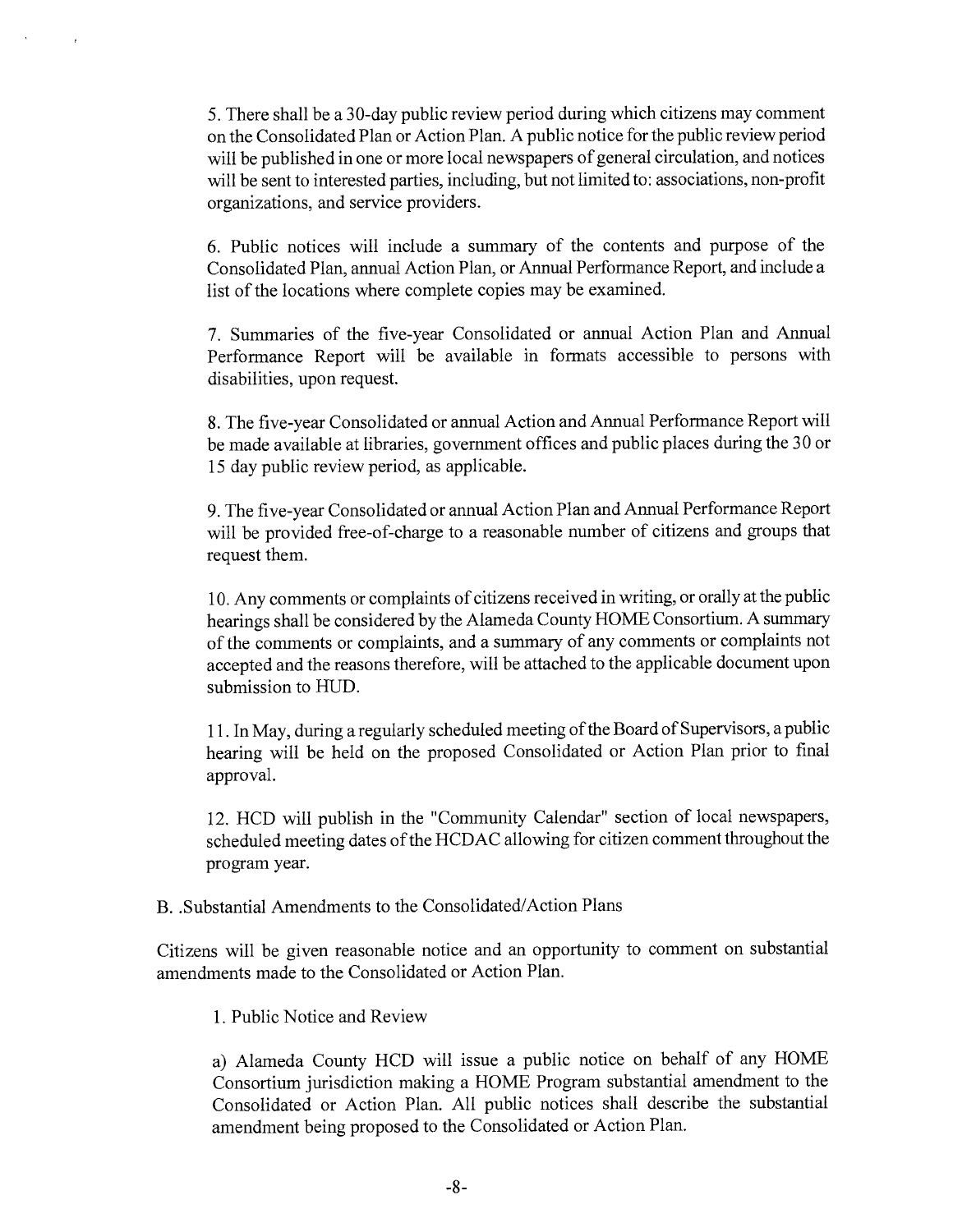5. There shall be a 30-day public review period during which citizens may comment on the Consolidated Plan or Action Plan. A public notice for the public review period will be published in one or more local newspapers of general circulation, and notices will be sent to interested parties, including, but not limited to: associations, non-profit organizations, and service providers.

6. Public notices will include a summary of the contents and purpose of the Consolidated Plan, annual Action Plan, or Annual Performance Report, and include a list of the locations where complete copies may be examined.

7. Summaries of the five-year Consolidated or annual Action Plan and Annual Performance Report will be available in formats accessible to persons with disabilities, upon request.

8. The five-year Consolidated or annual Action and Annual Performance Report will be made available at libraries, government offices and public places during the 30 or 15 day public review period, as applicable.

9. The five-year Consolidated or annual Action Plan and Annual Performance Report will be provided free-of-charge to a reasonable number of citizens and groups that request them.

10. Any comments or complaints of citizens received in writing, or orally at the public hearings shall be considered by the Alameda County HOME Consortium. A summary of the comments or complaints, and a summary of any comments or complaints not accepted and the reasons therefore, will be attached to the applicable document upon submission to HUD.

11. In May, during a regularly scheduled meeting of the Board of Supervisors, a public hearing will be held on the proposed Consolidated or Action Plan prior to final approval.

12. HCD will publish in the "Community Calendar" section of local newspapers, scheduled meeting dates of the HCDAC allowing for citizen comment throughout the program year.

#### B. . Substantial Amendments to the Consolidated/Action Plans

Citizens will be given reasonable notice and an opportunity to comment on substantial amendments made to the Consolidated or Action Plan.

1. Public Notice and Review

a) Alameda County HCD will issue a public notice on behalf of any HOME Consortium jurisdiction making a HOME Program substantial amendment to the Consolidated or Action Plan. All public notices shall describe the substantial amendment being proposed to the Consolidated or Action Plan.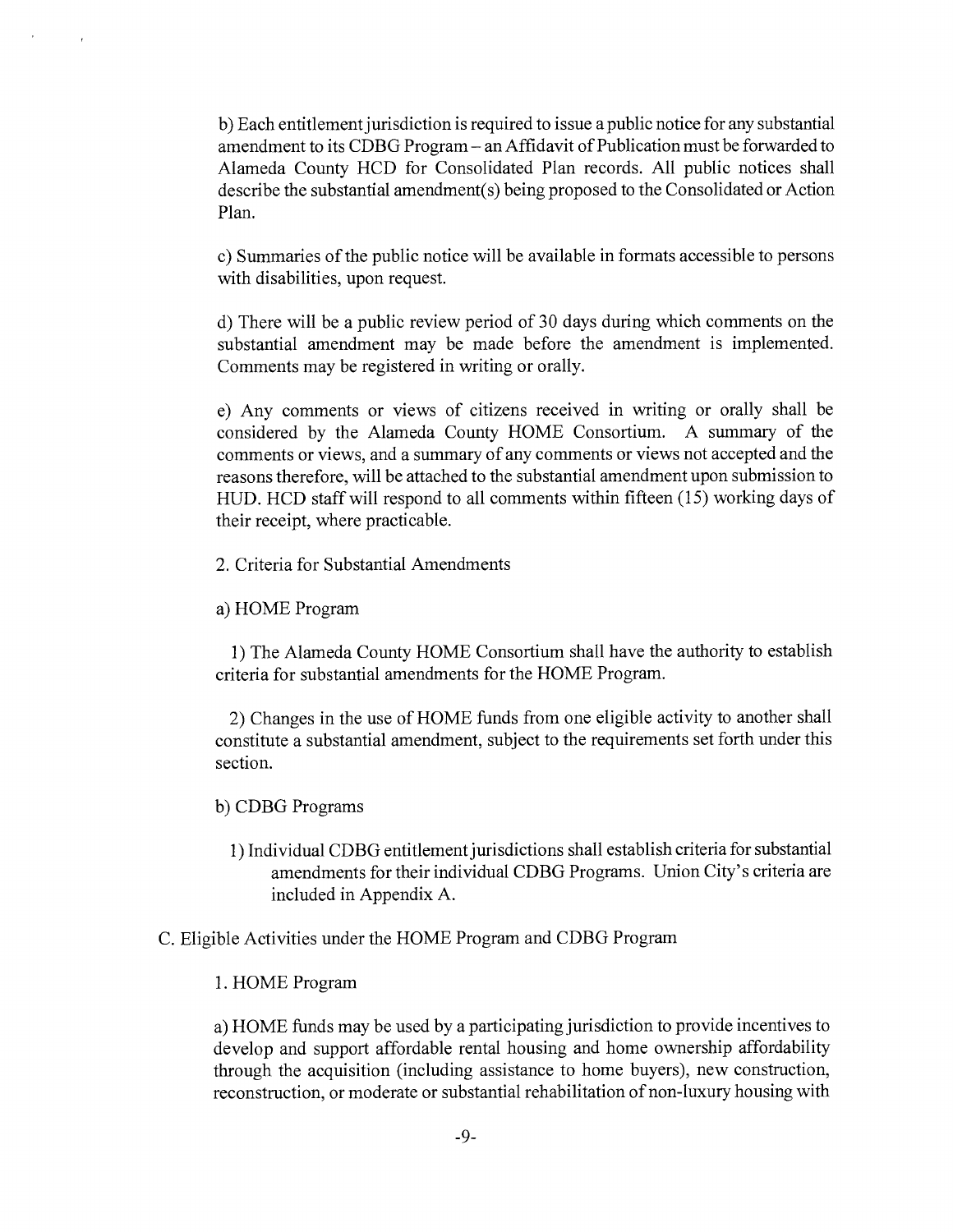b) Each entitlement jurisdiction is required to issue a public notice for any substantial amendment to its CDBG Program — an Affidavit of Publication must be forwarded to Alameda County HCD for Consolidated Plan records. All public notices shall describe the substantial amendment(s) being proposed to the Consolidated or Action Plan.

c) Summaries of the public notice will be available in formats accessible to persons with disabilities, upon request.

d) There will be a public review period of 30 days during which comments on the substantial amendment may be made before the amendment is implemented. Comments may be registered in writing or orally.

e) Any comments or views of citizens received in writing or orally shall be considered by the Alameda County HOME Consortium. A summary of the comments or views, and a summary of any comments or views not accepted and the reasons therefore, will be attached to the substantial amendment upon submission to HUD. HCD staff will respond to all comments within fifteen (15) working days of their receipt, where practicable.

2. Criteria for Substantial Amendments

a) HOME Program

1) The Alameda County HOME Consortium shall have the authority to establish criteria for substantial amendments for the HOME Program.

2) Changes in the use of HOME funds from one eligible activity to another shall constitute a substantial amendment, subject to the requirements set forth under this section.

#### b) CDBG Programs

1) Individual CDBG entitlement jurisdictions shall establish criteria for substantial amendments for their individual CDBG Programs. Union City's criteria are included in Appendix A.

#### C. Eligible Activities under the HOME Program and CDBG Program

#### 1. HOME Program

a) HOME funds may be used by a participating jurisdiction to provide incentives to develop and support affordable rental housing and home ownership affordability through the acquisition (including assistance to home buyers), new construction, reconstruction, or moderate or substantial rehabilitation of non-luxury housing with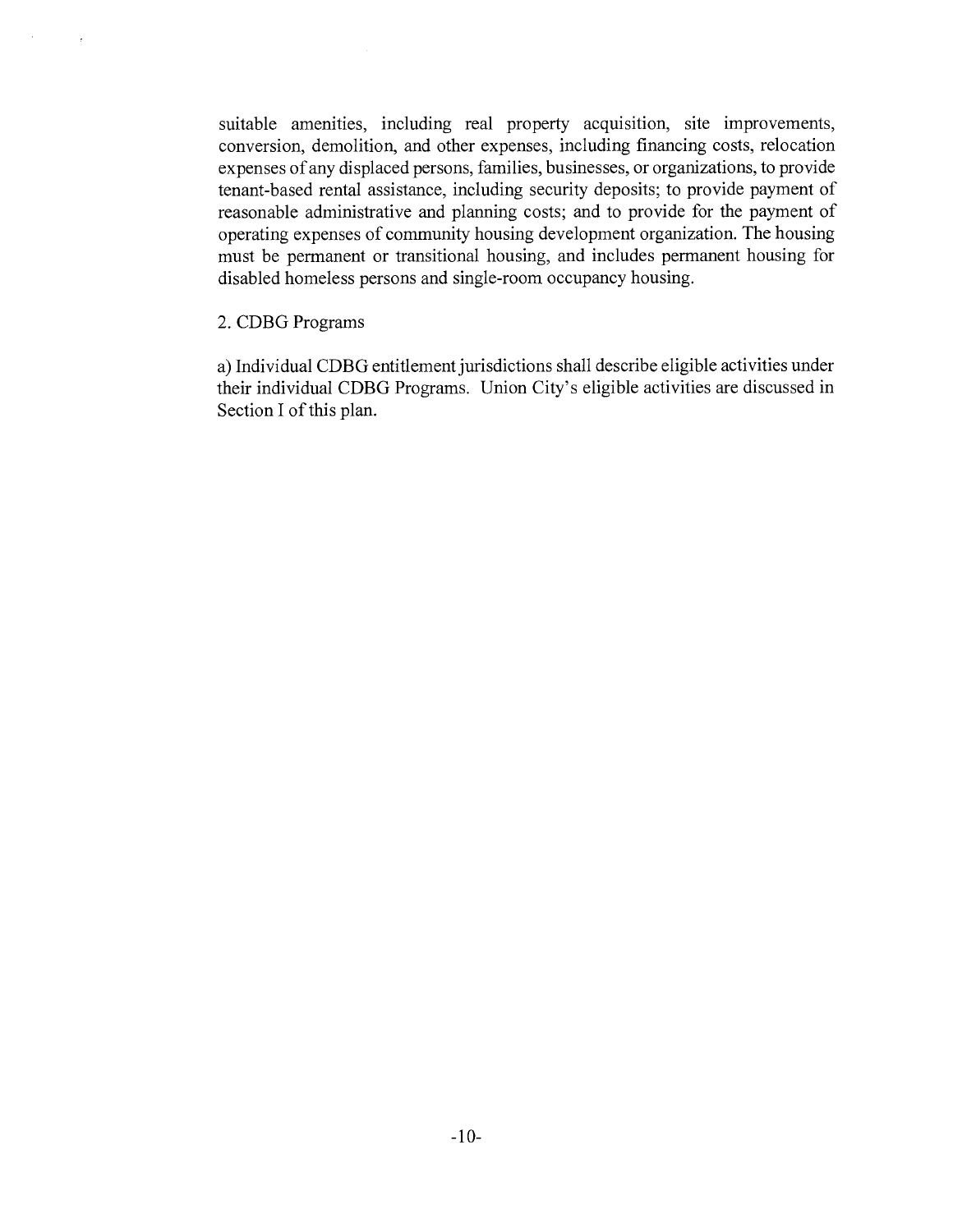suitable amenities, including real property acquisition, site improvements, conversion, demolition, and other expenses, including financing costs, relocation expenses of any displaced persons, families, businesses, or organizations, to provide tenant-based rental assistance, including security deposits; to provide payment of reasonable administrative and planning costs; and to provide for the payment of operating expenses of community housing development organization. The housing must be permanent or transitional housing, and includes permanent housing for disabled homeless persons and single-room occupancy housing.

#### 2. CDBG Programs

a) Individual CDBG entitlement jurisdictions shall describe eligible activities under their individual CDBG Programs. Union City's eligible activities are discussed in Section I of this plan.